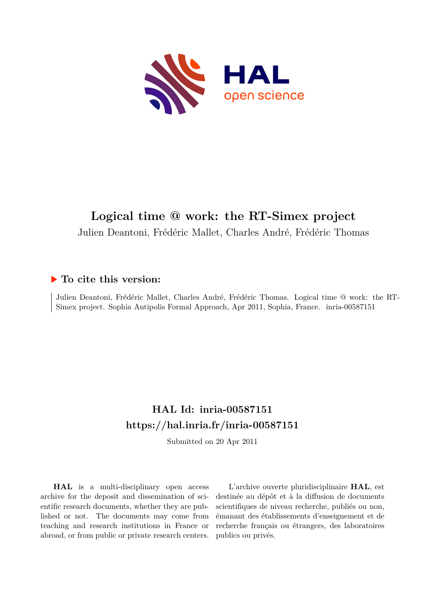

# **Logical time @ work: the RT-Simex project**

Julien Deantoni, Frédéric Mallet, Charles André, Frédéric Thomas

## **To cite this version:**

Julien Deantoni, Frédéric Mallet, Charles André, Frédéric Thomas. Logical time @ work: the RT-Simex project. Sophia Antipolis Formal Approach, Apr 2011, Sophia, France. inria-00587151

## **HAL Id: inria-00587151 <https://hal.inria.fr/inria-00587151>**

Submitted on 20 Apr 2011

**HAL** is a multi-disciplinary open access archive for the deposit and dissemination of scientific research documents, whether they are published or not. The documents may come from teaching and research institutions in France or abroad, or from public or private research centers.

L'archive ouverte pluridisciplinaire **HAL**, est destinée au dépôt et à la diffusion de documents scientifiques de niveau recherche, publiés ou non, émanant des établissements d'enseignement et de recherche français ou étrangers, des laboratoires publics ou privés.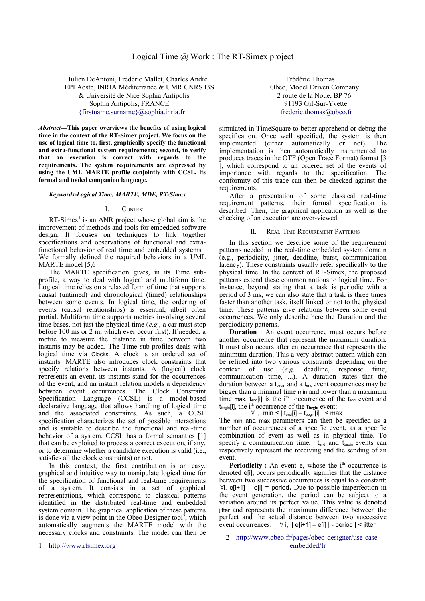Julien DeAntoni, Frédéric Mallet, Charles André Frédéric Thomas EPI Aoste, INRIA Méditerranée & UMR CNRS I3S Obeo, Model Driven Company & Université de Nice Sophia Antipolis 2 route de la Noue, BP 76 Sophia Antipolis, FRANCE 91193 Gif-Sur-Yvette [{firstname.surname}@sophia.inria.fr](mailto:%7Bfirstname.surname%7D@sophia.inria.fr) [frederic.thomas@obeo.fr](mailto:frederic.thomas@obeo.fr)

*Abstract***—This paper overviews the benefits of using logical time in the context of the RT-Simex project. We focus on the use of logical time to, first, graphically specify the functional and extra-functional system requirements; second, to verify that an execution is correct with regards to the requirements. The system requirements are expressed by using the UML MARTE profile conjointly with CCSL, its formal and tooled companion language.**

## *Keywords-Logical Time; MARTE, MDE, RT-Simex*

## I. CONTEXT

 $RT\text{-}Simex^1$  $RT\text{-}Simex^1$  is an ANR project whose global aim is the improvement of methods and tools for embedded software design. It focuses on techniques to link together specifications and observations of functional and extrafunctional behavior of real time and embedded systems. We formally defined the required behaviors in a UML MARTE model [5,6].

The MARTE specification gives, in its Time subprofile, a way to deal with logical and multiform time. Logical time relies on a relaxed form of time that supports causal (untimed) and chronological (timed) relationships between some events. In logical time, the ordering of events (causal relationships) is essential, albeit often partial. Multiform time supports metrics involving several time bases, not just the physical time (*e.g.*, a car must stop before 100 ms or 2 m, which ever occur first). If needed, a metric to measure the distance in time between two instants may be added. The Time sub-profiles deals with logical time via Clocks. A clock is an ordered set of instants. MARTE also introduces clock constraints that specify relations between instants. A (logical) clock represents an event, its instants stand for the occurrences of the event, and an instant relation models a dependency between event occurrences. The Clock Constraint Specification Language (CCSL) is a model-based declarative language that allows handling of logical time and the associated constraints. As such, a CCSL specification characterizes the set of possible interactions and is suitable to describe the functional and real-time behavior of a system. CCSL has a formal semantics [1] that can be exploited to process a correct execution, if any, or to determine whether a candidate execution is valid (i.e., satisfies all the clock constraints) or not.

In this context, the first contribution is an easy, graphical and intuitive way to manipulate logical time for the specification of functional and real-time requirements of a system. It consists in a set of graphical representations, which correspond to classical patterns identified in the distributed real-time and embedded system domain. The graphical application of these patterns is done via a view point in the Obeo Designer tool<sup>[2](#page-1-1)</sup>, which automatically augments the MARTE model with the necessary clocks and constraints. The model can then be

simulated in TimeSquare to better apprehend or debug the specification. Once well specified, the system is then implemented (either automatically or not). The implementation is then automatically instrumented to produces traces in the OTF (Open Trace Format) format [3 ], which correspond to an ordered set of the events of importance with regards to the specification. The conformity of this trace can then be checked against the requirements.

After a presentation of some classical real-time requirement patterns, their formal specification is described. Then, the graphical application as well as the checking of an execution are over-viewed.

### II. REAL-TIME REQUIREMENT PATTERNS

In this section we describe some of the requirement patterns needed in the real-time embedded system domain (e.g., periodicity, jitter, deadline, burst, communication latency). These constraints usually refer specifically to the physical time. In the context of RT-Simex, the proposed patterns extend these common notions to logical time. For instance, beyond stating that a task is periodic with a period of 3 ms, we can also state that a task is three times faster than another task, itself linked or not to the physical time. These patterns give relations between some event occurrences. We only describe here the Duration and the perdiodicity patterns.

**Duration** : An event occurrence must occurs before another occurrence that represent the maximum duration. It must also occurs after en occurrence that represents the minimum duration. This a very abstract pattern which can be refined into two various constraints depending on the context of use (*e.g.* deadline, response time, communication time, ...). A duration states that the duration between a t<sub>begin</sub> and a t<sub>end</sub> event occurrences may be bigger than a minimal time min and lower than a maximum time max. t<sub>end</sub>[i] is the i<sup>th</sup> occurrence of the t<sub>end</sub> event and t<sub>begin</sub>[i], the i<sup>th</sup> occurrence of the **t**<sub>begin</sub> event:

## $\forall$  i, min < | t<sub>end</sub>[i] – t<sub>begin</sub>[i] | < max

The min and max parameters can then be specified as a number of occurrences of a specific event, as a specific combination of event as well as in physical time. To specify a communication time,  $t_{end}$  and  $t_{begin}$  events can respectively represent the receiving and the sending of an event.

**Periodicity :** An event e, whose the i<sup>th</sup> occurrence is denoted e<sup>[j]</sup>, occurs periodically signifies that the distance between two successive occurrences is equal to a constant: i, e[i+1] – e[i] = period**.** Due to possible imperfection in the event generation, the period can be subject to a variation around its perfect value. This value is denoted jitter and represents the maximum difference between the perfect and the actual distance between two successive event occurrences:  $\forall$  i,  $\parallel$  e[i+1] – e[i] | - period | < jitter

<span id="page-1-0"></span><sup>1</sup> [http://www.rtsimex.org](http://www.rtsimex.org/)

<span id="page-1-1"></span><sup>2</sup> [http://www.obeo.fr/pages/obeo-designer/use-case](http://www.obeo.fr/pages/obeo-designer/use-case-embedded/fr)[embedded/fr](http://www.obeo.fr/pages/obeo-designer/use-case-embedded/fr)